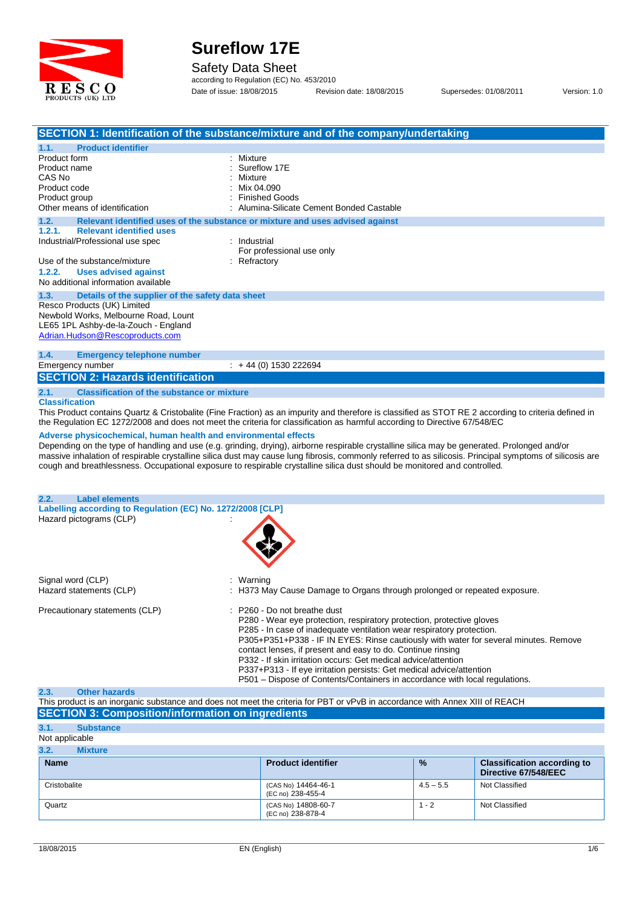

Safety Data Sheet

according to Regulation (EC) No. 453/2010 Date of issue: 18/08/2015 Revision date: 18/08/2015 Supersedes: 01/08/2011 Version: 1.0

|                                                                                                                                                                                               | SECTION 1: Identification of the substance/mixture and of the company/undertaking                                                                                                                                                                                                                                                                                                                                                                                                                                                                              |
|-----------------------------------------------------------------------------------------------------------------------------------------------------------------------------------------------|----------------------------------------------------------------------------------------------------------------------------------------------------------------------------------------------------------------------------------------------------------------------------------------------------------------------------------------------------------------------------------------------------------------------------------------------------------------------------------------------------------------------------------------------------------------|
| <b>Product identifier</b><br>1.1.                                                                                                                                                             |                                                                                                                                                                                                                                                                                                                                                                                                                                                                                                                                                                |
| Product form<br>Product name<br>CAS No<br>Product code<br>Product group<br>Other means of identification                                                                                      | Mixture<br>Sureflow 17E<br>Mixture<br>Mix 04.090<br><b>Finished Goods</b><br>Alumina-Silicate Cement Bonded Castable                                                                                                                                                                                                                                                                                                                                                                                                                                           |
| 1.2.                                                                                                                                                                                          | Relevant identified uses of the substance or mixture and uses advised against                                                                                                                                                                                                                                                                                                                                                                                                                                                                                  |
| 1.2.1.<br><b>Relevant identified uses</b><br>Industrial/Professional use spec<br>Use of the substance/mixture<br>1.2.2.<br><b>Uses advised against</b><br>No additional information available | : Industrial<br>For professional use only<br>Refractory                                                                                                                                                                                                                                                                                                                                                                                                                                                                                                        |
| 1.3.<br>Details of the supplier of the safety data sheet                                                                                                                                      |                                                                                                                                                                                                                                                                                                                                                                                                                                                                                                                                                                |
| Resco Products (UK) Limited<br>Newbold Works, Melbourne Road, Lount<br>LE65 1PL Ashby-de-la-Zouch - England<br>Adrian.Hudson@Rescoproducts.com                                                |                                                                                                                                                                                                                                                                                                                                                                                                                                                                                                                                                                |
| 1.4.<br><b>Emergency telephone number</b>                                                                                                                                                     |                                                                                                                                                                                                                                                                                                                                                                                                                                                                                                                                                                |
| Emergency number<br><b>SECTION 2: Hazards identification</b>                                                                                                                                  | $\div$ + 44 (0) 1530 222694                                                                                                                                                                                                                                                                                                                                                                                                                                                                                                                                    |
|                                                                                                                                                                                               |                                                                                                                                                                                                                                                                                                                                                                                                                                                                                                                                                                |
| 2.1.<br><b>Classification of the substance or mixture</b><br><b>Classification</b>                                                                                                            | This Product contains Quartz & Cristobalite (Fine Fraction) as an impurity and therefore is classified as STOT RE 2 according to criteria defined in<br>the Regulation EC 1272/2008 and does not meet the criteria for classification as harmful according to Directive 67/548/EC                                                                                                                                                                                                                                                                              |
| Adverse physicochemical, human health and environmental effects                                                                                                                               | Depending on the type of handling and use (e.g. grinding, drying), airborne respirable crystalline silica may be generated. Prolonged and/or<br>massive inhalation of respirable crystalline silica dust may cause lung fibrosis, commonly referred to as silicosis. Principal symptoms of silicosis are<br>cough and breathlessness. Occupational exposure to respirable crystalline silica dust should be monitored and controlled.                                                                                                                          |
| 2.2.<br><b>Label elements</b>                                                                                                                                                                 |                                                                                                                                                                                                                                                                                                                                                                                                                                                                                                                                                                |
| Labelling according to Regulation (EC) No. 1272/2008 [CLP]<br>Hazard pictograms (CLP)                                                                                                         |                                                                                                                                                                                                                                                                                                                                                                                                                                                                                                                                                                |
|                                                                                                                                                                                               |                                                                                                                                                                                                                                                                                                                                                                                                                                                                                                                                                                |
| Signal word (CLP)<br>Hazard statements (CLP)                                                                                                                                                  | Warning<br>: H373 May Cause Damage to Organs through prolonged or repeated exposure.                                                                                                                                                                                                                                                                                                                                                                                                                                                                           |
| Precautionary statements (CLP)                                                                                                                                                                | : P260 - Do not breathe dust<br>P280 - Wear eye protection, respiratory protection, protective gloves<br>P285 - In case of inadequate ventilation wear respiratory protection.<br>P305+P351+P338 - IF IN EYES: Rinse cautiously with water for several minutes. Remove<br>contact lenses, if present and easy to do. Continue rinsing<br>P332 - If skin irritation occurs: Get medical advice/attention<br>P337+P313 - If eye irritation persists: Get medical advice/attention<br>P501 – Dispose of Contents/Containers in accordance with local regulations. |
| 2.3.<br><b>Other hazards</b>                                                                                                                                                                  |                                                                                                                                                                                                                                                                                                                                                                                                                                                                                                                                                                |

| ______                                                                                                                       |  |
|------------------------------------------------------------------------------------------------------------------------------|--|
| This product is an inorganic substance and does not meet the criteria for PBT or vPvB in accordance with Annex XIII of REACH |  |
| <b>SECTION 3: Composition/information on ingredients</b>                                                                     |  |

**3.1. Substance** Not applicable

| 3.2.<br><b>Mixture</b> |                                          |               |                                                            |
|------------------------|------------------------------------------|---------------|------------------------------------------------------------|
| <b>Name</b>            | <b>Product identifier</b>                | $\frac{9}{6}$ | <b>Classification according to</b><br>Directive 67/548/EEC |
| Cristobalite           | (CAS No) 14464-46-1<br>(EC no) 238-455-4 | $4.5 - 5.5$   | Not Classified                                             |
| Quartz                 | (CAS No) 14808-60-7<br>(EC no) 238-878-4 | $1 - 2$       | Not Classified                                             |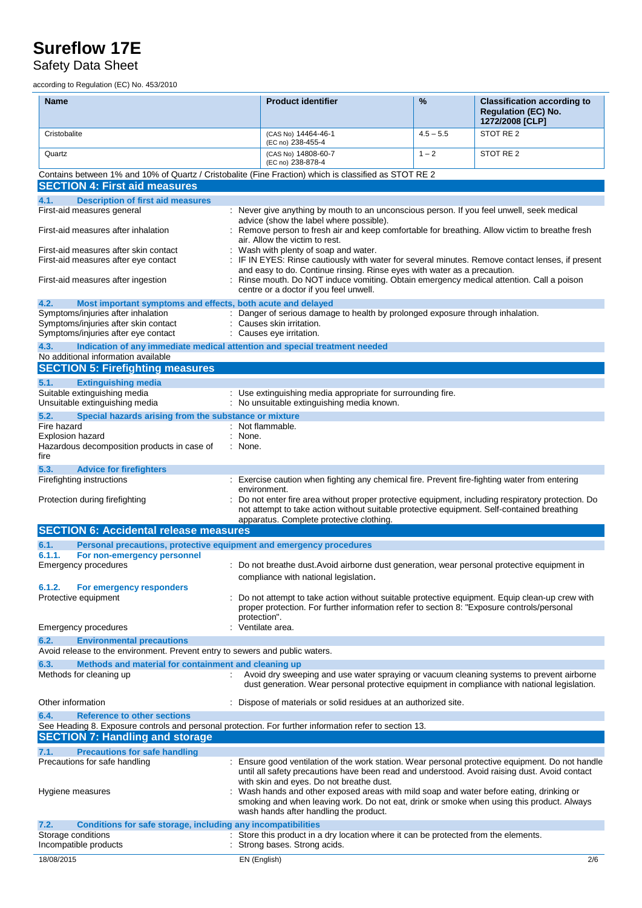### Safety Data Sheet

according to Regulation (EC) No. 453/2010

| <b>Name</b>                                                                                                                                                                                    |         | <b>Product identifier</b>                                                                                                                                                                                                                                                 | %           | <b>Classification according to</b><br><b>Requlation (EC) No.</b><br>1272/2008 [CLP] |
|------------------------------------------------------------------------------------------------------------------------------------------------------------------------------------------------|---------|---------------------------------------------------------------------------------------------------------------------------------------------------------------------------------------------------------------------------------------------------------------------------|-------------|-------------------------------------------------------------------------------------|
| Cristobalite                                                                                                                                                                                   |         | (CAS No) 14464-46-1<br>(EC no) 238-455-4                                                                                                                                                                                                                                  | $4.5 - 5.5$ | STOT RE 2                                                                           |
| Quartz                                                                                                                                                                                         |         | (CAS No) 14808-60-7<br>(EC no) 238-878-4                                                                                                                                                                                                                                  | $1 - 2$     | STOT RE 2                                                                           |
| Contains between 1% and 10% of Quartz / Cristobalite (Fine Fraction) which is classified as STOT RE 2<br><b>SECTION 4: First aid measures</b>                                                  |         |                                                                                                                                                                                                                                                                           |             |                                                                                     |
| <b>Description of first aid measures</b><br>4.1.                                                                                                                                               |         |                                                                                                                                                                                                                                                                           |             |                                                                                     |
| First-aid measures general                                                                                                                                                                     |         | : Never give anything by mouth to an unconscious person. If you feel unwell, seek medical<br>advice (show the label where possible).                                                                                                                                      |             |                                                                                     |
| First-aid measures after inhalation                                                                                                                                                            |         | Remove person to fresh air and keep comfortable for breathing. Allow victim to breathe fresh<br>air. Allow the victim to rest.                                                                                                                                            |             |                                                                                     |
| First-aid measures after skin contact<br>First-aid measures after eye contact                                                                                                                  |         | Wash with plenty of soap and water.<br>IF IN EYES: Rinse cautiously with water for several minutes. Remove contact lenses, if present<br>and easy to do. Continue rinsing. Rinse eyes with water as a precaution.                                                         |             |                                                                                     |
| First-aid measures after ingestion                                                                                                                                                             |         | : Rinse mouth. Do NOT induce vomiting. Obtain emergency medical attention. Call a poison<br>centre or a doctor if you feel unwell.                                                                                                                                        |             |                                                                                     |
| 4.2.<br>Most important symptoms and effects, both acute and delayed<br>Symptoms/injuries after inhalation                                                                                      |         | : Danger of serious damage to health by prolonged exposure through inhalation.                                                                                                                                                                                            |             |                                                                                     |
| Symptoms/injuries after skin contact<br>Symptoms/injuries after eye contact                                                                                                                    |         | Causes skin irritation.<br>Causes eye irritation.                                                                                                                                                                                                                         |             |                                                                                     |
| 4.3.<br>Indication of any immediate medical attention and special treatment needed                                                                                                             |         |                                                                                                                                                                                                                                                                           |             |                                                                                     |
| No additional information available<br><b>SECTION 5: Firefighting measures</b>                                                                                                                 |         |                                                                                                                                                                                                                                                                           |             |                                                                                     |
| 5.1.<br><b>Extinguishing media</b>                                                                                                                                                             |         |                                                                                                                                                                                                                                                                           |             |                                                                                     |
| Suitable extinguishing media<br>Unsuitable extinguishing media                                                                                                                                 |         | : Use extinguishing media appropriate for surrounding fire.<br>: No unsuitable extinguishing media known.                                                                                                                                                                 |             |                                                                                     |
| 5.2.<br>Special hazards arising from the substance or mixture                                                                                                                                  |         |                                                                                                                                                                                                                                                                           |             |                                                                                     |
| Fire hazard<br>Explosion hazard                                                                                                                                                                | : None. | : Not flammable.                                                                                                                                                                                                                                                          |             |                                                                                     |
| Hazardous decomposition products in case of<br>fire                                                                                                                                            | : None. |                                                                                                                                                                                                                                                                           |             |                                                                                     |
| 5.3.<br><b>Advice for firefighters</b>                                                                                                                                                         |         |                                                                                                                                                                                                                                                                           |             |                                                                                     |
| Firefighting instructions                                                                                                                                                                      |         | : Exercise caution when fighting any chemical fire. Prevent fire-fighting water from entering<br>environment.                                                                                                                                                             |             |                                                                                     |
| Protection during firefighting                                                                                                                                                                 |         | Do not enter fire area without proper protective equipment, including respiratory protection. Do<br>not attempt to take action without suitable protective equipment. Self-contained breathing<br>apparatus. Complete protective clothing.                                |             |                                                                                     |
| <b>SECTION 6: Accidental release measures</b>                                                                                                                                                  |         |                                                                                                                                                                                                                                                                           |             |                                                                                     |
| Personal precautions, protective equipment and emergency procedures<br>6.1.                                                                                                                    |         |                                                                                                                                                                                                                                                                           |             |                                                                                     |
| 6.1.1.<br>For non-emergency personnel<br>Emergency procedures                                                                                                                                  |         | : Do not breathe dust. Avoid airborne dust generation, wear personal protective equipment in                                                                                                                                                                              |             |                                                                                     |
| 6.1.2.<br>For emergency responders                                                                                                                                                             |         | compliance with national legislation.                                                                                                                                                                                                                                     |             |                                                                                     |
| Protective equipment                                                                                                                                                                           |         | Do not attempt to take action without suitable protective equipment. Equip clean-up crew with<br>proper protection. For further information refer to section 8: "Exposure controls/personal<br>protection".                                                               |             |                                                                                     |
| Emergency procedures                                                                                                                                                                           |         | Ventilate area.                                                                                                                                                                                                                                                           |             |                                                                                     |
| 6.2.<br><b>Environmental precautions</b>                                                                                                                                                       |         |                                                                                                                                                                                                                                                                           |             |                                                                                     |
| Avoid release to the environment. Prevent entry to sewers and public waters.                                                                                                                   |         |                                                                                                                                                                                                                                                                           |             |                                                                                     |
| Methods and material for containment and cleaning up<br>6.3.<br>Methods for cleaning up<br>÷.                                                                                                  |         | Avoid dry sweeping and use water spraying or vacuum cleaning systems to prevent airborne<br>dust generation. Wear personal protective equipment in compliance with national legislation.                                                                                  |             |                                                                                     |
| Other information                                                                                                                                                                              |         | Dispose of materials or solid residues at an authorized site.                                                                                                                                                                                                             |             |                                                                                     |
| 6.4.<br><b>Reference to other sections</b><br>See Heading 8. Exposure controls and personal protection. For further information refer to section 13.<br><b>SECTION 7: Handling and storage</b> |         |                                                                                                                                                                                                                                                                           |             |                                                                                     |
| <b>Precautions for safe handling</b><br>7.1.                                                                                                                                                   |         |                                                                                                                                                                                                                                                                           |             |                                                                                     |
| Precautions for safe handling                                                                                                                                                                  |         | : Ensure good ventilation of the work station. Wear personal protective equipment. Do not handle<br>until all safety precautions have been read and understood. Avoid raising dust. Avoid contact                                                                         |             |                                                                                     |
| Hygiene measures                                                                                                                                                                               |         | with skin and eyes. Do not breathe dust.<br>Wash hands and other exposed areas with mild soap and water before eating, drinking or<br>smoking and when leaving work. Do not eat, drink or smoke when using this product. Always<br>wash hands after handling the product. |             |                                                                                     |
| 7.2.<br>Conditions for safe storage, including any incompatibilities                                                                                                                           |         |                                                                                                                                                                                                                                                                           |             |                                                                                     |
| Storage conditions<br>Incompatible products                                                                                                                                                    |         | : Store this product in a dry location where it can be protected from the elements.<br>Strong bases. Strong acids.                                                                                                                                                        |             |                                                                                     |
| 18/08/2015                                                                                                                                                                                     |         | EN (English)                                                                                                                                                                                                                                                              |             | 2/6                                                                                 |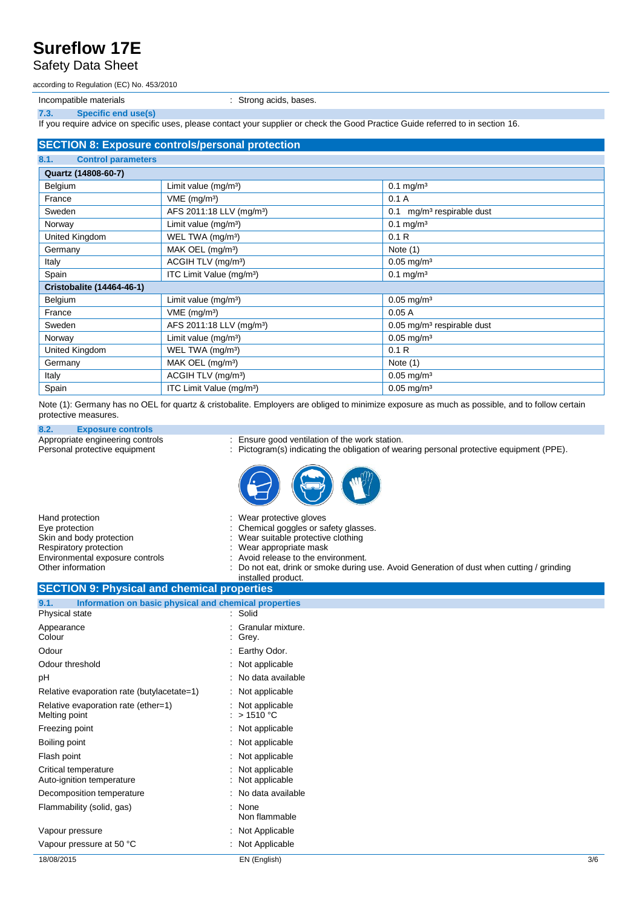#### Safety Data Sheet

according to Regulation (EC) No. 453/2010

Incompatible materials **incompatible materials incompatible materials incompatible** materials

**7.3. Specific end use(s)**

If you require advice on specific uses, please contact your supplier or check the Good Practice Guide referred to in section 16.

#### **SECTION 8: Exposure controls/personal protection 8.1. Control parameters Quartz (14808-60-7)** Belgium Limit value (mg/m<sup>3</sup>) 0.1 mg/m<sup>3</sup> France VME (mg/m<sup>3</sup>) 0.1 A Sweden <br>AFS 2011:18 LLV (mg/m<sup>3</sup>) 0.1 mg/m<sup>3</sup> respirable dust Norway Limit value (mg/m<sup>3</sup>) 0.1 mg/m<sup>3</sup> United Kingdom WEL TWA (mg/m<sup>3</sup>) 0.1 R Germany MAK OEL (mg/m<sup>3</sup>) Note (1) Italy  $\vert$  ACGIH TLV (mg/m<sup>3</sup>)  $\vert$  0.05 mg/m<sup>3</sup> Spain **ITC Limit Value (mg/m**<sup>3</sup>) 1TC Limit Value (mg/m<sup>3</sup>) 1TC 1 mg/m<sup>3</sup> **Cristobalite (14464-46-1)** Belgium Limit value (mg/m<sup>3</sup>) Delgium 2.05 mg/m<sup>3</sup> France VME (mg/m<sup>3</sup>) 0.05 A Sweden <br>
AFS 2011:18 LLV (mg/m<sup>3</sup>) 0.05 mg/m<sup>3</sup> respirable dust Norway Limit value (mg/mª) 0.05 mg/m<sup>3</sup> 0.05 mg/m<sup>3</sup> United Kingdom WEL TWA (mg/m<sup>3</sup>) 0.1 R Germany MAK OEL (mg/m<sup>3</sup>) Note (1) Italy **ACGIH TLV (mg/m<sup>3</sup>)** 0.05 mg/m<sup>3</sup> Spain **ITC** Limit Value (mg/m<sup>3</sup>) 0.05 mg/m<sup>3</sup>

Note (1): Germany has no OEL for quartz & cristobalite. Employers are obliged to minimize exposure as much as possible, and to follow certain protective measures.

## **8.2. Exposure controls**

- 
- Appropriate engineering controls : Ensure good ventilation of the work station.<br>
Personal protective equipment : Pictogram(s) indicating the obligation of we : Pictogram(s) indicating the obligation of wearing personal protective equipment (PPE).



| Hand protection                                  | : Wear protective gloves                                                                  |
|--------------------------------------------------|-------------------------------------------------------------------------------------------|
| Eye protection                                   | : Chemical goggles or safety glasses.                                                     |
| Skin and body protection                         | : Wear suitable protective clothing                                                       |
| Respiratory protection                           | : Wear appropriate mask                                                                   |
| Environmental exposure controls                  | : Avoid release to the environment.                                                       |
| Other information                                | : Do not eat, drink or smoke during use. Avoid Generation of dust when cutting / grinding |
| <b>OFOTION OF BELLEVIAL ARRESTS AND CONTRACT</b> | installed product.                                                                        |

#### **SECTION 9: Physical and chemical properties 9.1. Information on basic physical and chemical properties** Physical state : Solid

| 18/08/2015                                           | EN (English)                               | 3/6 |
|------------------------------------------------------|--------------------------------------------|-----|
| Vapour pressure at 50 °C                             | : Not Applicable                           |     |
| Vapour pressure                                      | : Not Applicable                           |     |
| Flammability (solid, gas)                            | : None<br>Non flammable                    |     |
| Decomposition temperature                            | : No data available                        |     |
| Critical temperature<br>Auto-ignition temperature    | : Not applicable<br>: Not applicable       |     |
| Flash point                                          | : Not applicable                           |     |
| Boiling point                                        | $\therefore$ Not applicable                |     |
| Freezing point                                       | : Not applicable                           |     |
| Relative evaporation rate (ether=1)<br>Melting point | : Not applicable<br>$\therefore$ > 1510 °C |     |
| Relative evaporation rate (butylacetate=1)           | $\therefore$ Not applicable                |     |
| pH                                                   | : No data available                        |     |
| Odour threshold                                      | : Not applicable                           |     |
| Odour                                                | : Earthy Odor.                             |     |
| Appearance<br>Colour                                 | : Granular mixture.<br>$:$ Grey.           |     |
|                                                      |                                            |     |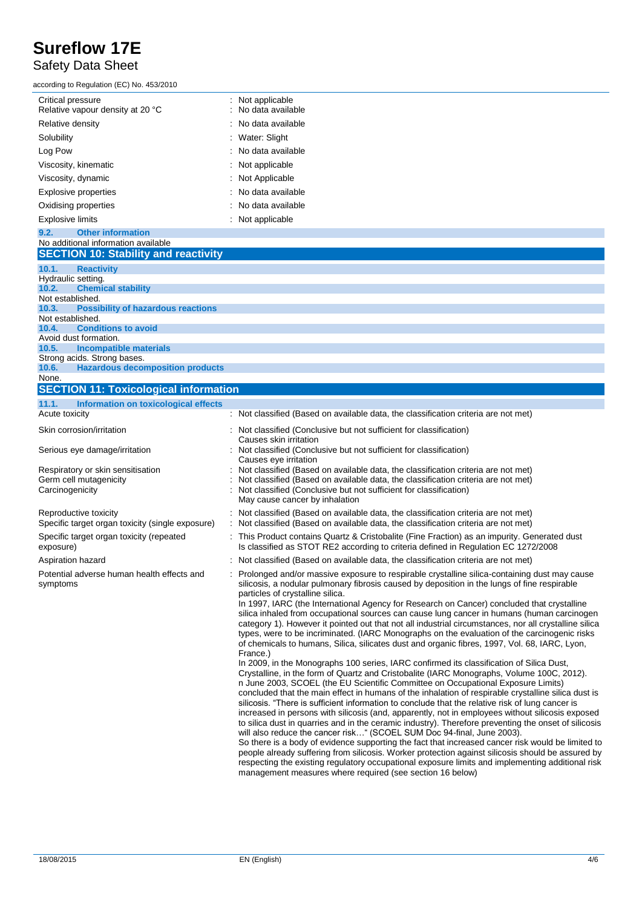### Safety Data Sheet

according to Regulation (EC) No. 453/2010

| Critical pressure<br>Relative vapour density at 20 °C | : Not applicable<br>: No data available |
|-------------------------------------------------------|-----------------------------------------|
| Relative density                                      | : No data available                     |
| Solubility                                            | : Water: Slight                         |
| Log Pow                                               | : No data available                     |
| Viscosity, kinematic                                  | : Not applicable                        |
| Viscosity, dynamic                                    | : Not Applicable                        |
| <b>Explosive properties</b>                           | : No data available                     |
| Oxidising properties                                  | : No data available                     |
| <b>Explosive limits</b>                               | : Not applicable                        |

#### **9.2. Other information** No additional information available **SECTION 10: Stability and reactivity 10.1. Reactivity** Hydraulic setting. **10.2. Chemical stability** Not established. **10.3. Possibility of hazardous reactions** Not established. **10.4. Conditions to avoid** Avoid dust formation. **10.5. Incompatible materials** Strong acids. Strong bases. **10.6. Hazardous decomposition products** None. **SECTION 11: Toxicological information 11.1. Information on toxicological effects** Acute toxicity in the same of the classified (Based on available data, the classification criteria are not met)

| ACUTE TOXICITY                                                                 | $\colon$ Not classified (Based on available data, the classification criteria are not met)                                                                                                                                                                                                                                                                                                                                                                                                                                                                                                                                                                                                                                                                                                                                                                                                                                                                                                                                                                                                                                                                                                                                                                                                                                                                                                                                                                                                                                                                                                                                                                                                                                                                                                                                                                                                                  |
|--------------------------------------------------------------------------------|-------------------------------------------------------------------------------------------------------------------------------------------------------------------------------------------------------------------------------------------------------------------------------------------------------------------------------------------------------------------------------------------------------------------------------------------------------------------------------------------------------------------------------------------------------------------------------------------------------------------------------------------------------------------------------------------------------------------------------------------------------------------------------------------------------------------------------------------------------------------------------------------------------------------------------------------------------------------------------------------------------------------------------------------------------------------------------------------------------------------------------------------------------------------------------------------------------------------------------------------------------------------------------------------------------------------------------------------------------------------------------------------------------------------------------------------------------------------------------------------------------------------------------------------------------------------------------------------------------------------------------------------------------------------------------------------------------------------------------------------------------------------------------------------------------------------------------------------------------------------------------------------------------------|
| Skin corrosion/irritation                                                      | : Not classified (Conclusive but not sufficient for classification)<br>Causes skin irritation                                                                                                                                                                                                                                                                                                                                                                                                                                                                                                                                                                                                                                                                                                                                                                                                                                                                                                                                                                                                                                                                                                                                                                                                                                                                                                                                                                                                                                                                                                                                                                                                                                                                                                                                                                                                               |
| Serious eye damage/irritation                                                  | : Not classified (Conclusive but not sufficient for classification)<br>Causes eye irritation                                                                                                                                                                                                                                                                                                                                                                                                                                                                                                                                                                                                                                                                                                                                                                                                                                                                                                                                                                                                                                                                                                                                                                                                                                                                                                                                                                                                                                                                                                                                                                                                                                                                                                                                                                                                                |
| Respiratory or skin sensitisation<br>Germ cell mutagenicity<br>Carcinogenicity | Not classified (Based on available data, the classification criteria are not met)<br>Not classified (Based on available data, the classification criteria are not met)<br>Not classified (Conclusive but not sufficient for classification)<br>May cause cancer by inhalation                                                                                                                                                                                                                                                                                                                                                                                                                                                                                                                                                                                                                                                                                                                                                                                                                                                                                                                                                                                                                                                                                                                                                                                                                                                                                                                                                                                                                                                                                                                                                                                                                               |
| Reproductive toxicity<br>Specific target organ toxicity (single exposure)      | Not classified (Based on available data, the classification criteria are not met)<br>Not classified (Based on available data, the classification criteria are not met)                                                                                                                                                                                                                                                                                                                                                                                                                                                                                                                                                                                                                                                                                                                                                                                                                                                                                                                                                                                                                                                                                                                                                                                                                                                                                                                                                                                                                                                                                                                                                                                                                                                                                                                                      |
| Specific target organ toxicity (repeated<br>exposure)                          | This Product contains Quartz & Cristobalite (Fine Fraction) as an impurity. Generated dust<br>Is classified as STOT RE2 according to criteria defined in Regulation EC 1272/2008                                                                                                                                                                                                                                                                                                                                                                                                                                                                                                                                                                                                                                                                                                                                                                                                                                                                                                                                                                                                                                                                                                                                                                                                                                                                                                                                                                                                                                                                                                                                                                                                                                                                                                                            |
| Aspiration hazard                                                              | : Not classified (Based on available data, the classification criteria are not met)                                                                                                                                                                                                                                                                                                                                                                                                                                                                                                                                                                                                                                                                                                                                                                                                                                                                                                                                                                                                                                                                                                                                                                                                                                                                                                                                                                                                                                                                                                                                                                                                                                                                                                                                                                                                                         |
| Potential adverse human health effects and<br>symptoms                         | Prolonged and/or massive exposure to respirable crystalline silica-containing dust may cause<br>silicosis, a nodular pulmonary fibrosis caused by deposition in the lungs of fine respirable<br>particles of crystalline silica.<br>In 1997, IARC (the International Agency for Research on Cancer) concluded that crystalline<br>silica inhaled from occupational sources can cause lung cancer in humans (human carcinogen<br>category 1). However it pointed out that not all industrial circumstances, nor all crystalline silica<br>types, were to be incriminated. (IARC Monographs on the evaluation of the carcinogenic risks<br>of chemicals to humans, Silica, silicates dust and organic fibres, 1997, Vol. 68, IARC, Lyon,<br>France.)<br>In 2009, in the Monographs 100 series, IARC confirmed its classification of Silica Dust,<br>Crystalline, in the form of Quartz and Cristobalite (IARC Monographs, Volume 100C, 2012).<br>n June 2003, SCOEL (the EU Scientific Committee on Occupational Exposure Limits)<br>concluded that the main effect in humans of the inhalation of respirable crystalline silica dust is<br>silicosis. "There is sufficient information to conclude that the relative risk of lung cancer is<br>increased in persons with silicosis (and, apparently, not in employees without silicosis exposed<br>to silica dust in quarries and in the ceramic industry). Therefore preventing the onset of silicosis<br>will also reduce the cancer risk" (SCOEL SUM Doc 94-final, June 2003).<br>So there is a body of evidence supporting the fact that increased cancer risk would be limited to<br>people already suffering from silicosis. Worker protection against silicosis should be assured by<br>respecting the existing regulatory occupational exposure limits and implementing additional risk<br>management measures where required (see section 16 below) |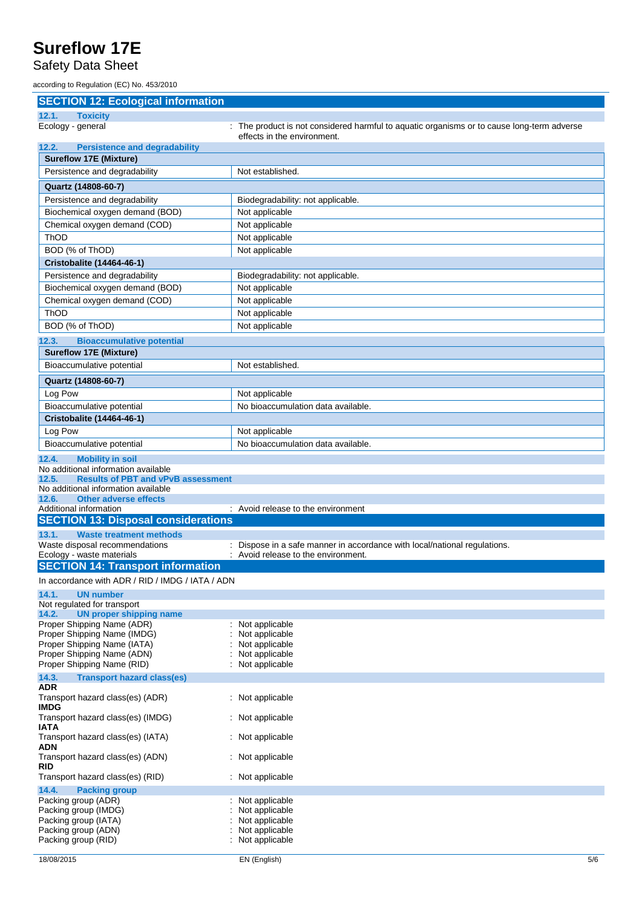### Safety Data Sheet

according to Regulation (EC) No. 453/2010

#### **SECTION 12: Ecological information**

| 12.1.<br><b>Toxicity</b>                                                                                                                                                                                                                |                                                                                                                           |
|-----------------------------------------------------------------------------------------------------------------------------------------------------------------------------------------------------------------------------------------|---------------------------------------------------------------------------------------------------------------------------|
| Ecology - general                                                                                                                                                                                                                       | : The product is not considered harmful to aquatic organisms or to cause long-term adverse<br>effects in the environment. |
| 12.2.<br><b>Persistence and degradability</b>                                                                                                                                                                                           |                                                                                                                           |
| <b>Sureflow 17E (Mixture)</b>                                                                                                                                                                                                           |                                                                                                                           |
| Persistence and degradability                                                                                                                                                                                                           | Not established.                                                                                                          |
| Quartz (14808-60-7)                                                                                                                                                                                                                     |                                                                                                                           |
| Persistence and degradability                                                                                                                                                                                                           | Biodegradability: not applicable.                                                                                         |
| Biochemical oxygen demand (BOD)                                                                                                                                                                                                         | Not applicable                                                                                                            |
| Chemical oxygen demand (COD)                                                                                                                                                                                                            | Not applicable                                                                                                            |
| ThOD                                                                                                                                                                                                                                    | Not applicable                                                                                                            |
| BOD (% of ThOD)                                                                                                                                                                                                                         | Not applicable                                                                                                            |
| <b>Cristobalite (14464-46-1)</b>                                                                                                                                                                                                        |                                                                                                                           |
| Persistence and degradability                                                                                                                                                                                                           | Biodegradability: not applicable.                                                                                         |
| Biochemical oxygen demand (BOD)                                                                                                                                                                                                         | Not applicable                                                                                                            |
| Chemical oxygen demand (COD)                                                                                                                                                                                                            | Not applicable                                                                                                            |
| ThOD                                                                                                                                                                                                                                    | Not applicable                                                                                                            |
| BOD (% of ThOD)                                                                                                                                                                                                                         | Not applicable                                                                                                            |
| <b>Bioaccumulative potential</b><br>12.3.                                                                                                                                                                                               |                                                                                                                           |
| <b>Sureflow 17E (Mixture)</b>                                                                                                                                                                                                           |                                                                                                                           |
| Bioaccumulative potential                                                                                                                                                                                                               | Not established.                                                                                                          |
| Quartz (14808-60-7)                                                                                                                                                                                                                     |                                                                                                                           |
| Log Pow                                                                                                                                                                                                                                 | Not applicable                                                                                                            |
| Bioaccumulative potential                                                                                                                                                                                                               | No bioaccumulation data available.                                                                                        |
| Cristobalite (14464-46-1)                                                                                                                                                                                                               |                                                                                                                           |
| Log Pow                                                                                                                                                                                                                                 | Not applicable                                                                                                            |
| Bioaccumulative potential                                                                                                                                                                                                               | No bioaccumulation data available.                                                                                        |
| <b>Mobility in soil</b><br>12.4.<br>No additional information available<br>12.5.<br><b>Results of PBT and vPvB assessment</b><br>No additional information available<br><b>Other adverse effects</b><br>12.6.<br>Additional information | : Avoid release to the environment                                                                                        |
| <b>SECTION 13: Disposal considerations</b>                                                                                                                                                                                              |                                                                                                                           |
| <b>Waste treatment methods</b><br>13.1.<br>Waste disposal recommendations<br>Ecology - waste materials                                                                                                                                  | Dispose in a safe manner in accordance with local/national regulations.<br>Avoid release to the environment.              |
| <b>SECTION 14: Transport information</b>                                                                                                                                                                                                |                                                                                                                           |
| In accordance with ADR / RID / IMDG / IATA / ADN                                                                                                                                                                                        |                                                                                                                           |
| UN number<br>14.1.                                                                                                                                                                                                                      |                                                                                                                           |
| Not regulated for transport                                                                                                                                                                                                             |                                                                                                                           |
| <b>UN proper shipping name</b><br>14.2.                                                                                                                                                                                                 |                                                                                                                           |
| Proper Shipping Name (ADR)<br>Proper Shipping Name (IMDG)                                                                                                                                                                               | Not applicable<br>Not applicable                                                                                          |
| Proper Shipping Name (IATA)                                                                                                                                                                                                             | Not applicable                                                                                                            |
| Proper Shipping Name (ADN)                                                                                                                                                                                                              | Not applicable                                                                                                            |
| Proper Shipping Name (RID)                                                                                                                                                                                                              | Not applicable                                                                                                            |
| <b>Transport hazard class(es)</b><br>14.3.<br><b>ADR</b>                                                                                                                                                                                |                                                                                                                           |
| Transport hazard class(es) (ADR)<br><b>IMDG</b>                                                                                                                                                                                         | Not applicable                                                                                                            |
| Transport hazard class(es) (IMDG)<br><b>IATA</b>                                                                                                                                                                                        | : Not applicable                                                                                                          |
| Transport hazard class(es) (IATA)<br>ADN                                                                                                                                                                                                | Not applicable                                                                                                            |
| Transport hazard class(es) (ADN)<br><b>RID</b>                                                                                                                                                                                          | Not applicable                                                                                                            |
| Transport hazard class(es) (RID)                                                                                                                                                                                                        | Not applicable                                                                                                            |
| 14.4.<br><b>Packing group</b>                                                                                                                                                                                                           |                                                                                                                           |
| Packing group (ADR)                                                                                                                                                                                                                     | Not applicable                                                                                                            |
| Packing group (IMDG)<br>Packing group (IATA)                                                                                                                                                                                            | Not applicable<br>Not applicable                                                                                          |
| Packing group (ADN)                                                                                                                                                                                                                     | Not applicable                                                                                                            |
| Packing group (RID)                                                                                                                                                                                                                     | Not applicable                                                                                                            |